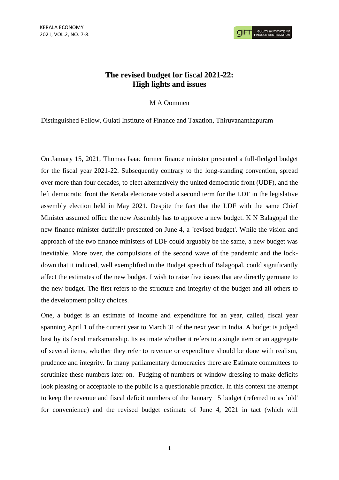## **The revised budget for fiscal 2021-22: High lights and issues**

## M A Oommen

Distinguished Fellow, Gulati Institute of Finance and Taxation, Thiruvananthapuram

On January 15, 2021, Thomas Isaac former finance minister presented a full-fledged budget for the fiscal year 2021-22. Subsequently contrary to the long-standing convention, spread over more than four decades, to elect alternatively the united democratic front (UDF), and the left democratic front the Kerala electorate voted a second term for the LDF in the legislative assembly election held in May 2021. Despite the fact that the LDF with the same Chief Minister assumed office the new Assembly has to approve a new budget. K N Balagopal the new finance minister dutifully presented on June 4, a `revised budget'. While the vision and approach of the two finance ministers of LDF could arguably be the same, a new budget was inevitable. More over, the compulsions of the second wave of the pandemic and the lockdown that it induced, well exemplified in the Budget speech of Balagopal, could significantly affect the estimates of the new budget. I wish to raise five issues that are directly germane to the new budget. The first refers to the structure and integrity of the budget and all others to the development policy choices.

One, a budget is an estimate of income and expenditure for an year, called, fiscal year spanning April 1 of the current year to March 31 of the next year in India. A budget is judged best by its fiscal marksmanship. Its estimate whether it refers to a single item or an aggregate of several items, whether they refer to revenue or expenditure should be done with realism, prudence and integrity. In many parliamentary democracies there are Estimate committees to scrutinize these numbers later on. Fudging of numbers or window-dressing to make deficits look pleasing or acceptable to the public is a questionable practice. In this context the attempt to keep the revenue and fiscal deficit numbers of the January 15 budget (referred to as `old' for convenience) and the revised budget estimate of June 4, 2021 in tact (which will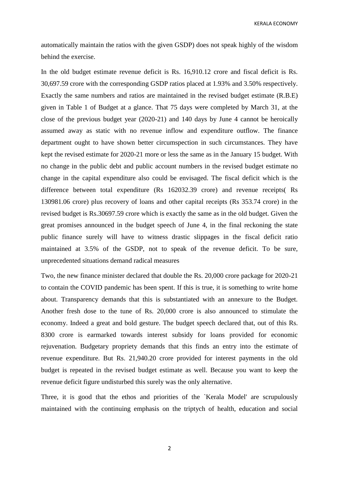KERALA ECONOMY

automatically maintain the ratios with the given GSDP) does not speak highly of the wisdom behind the exercise.

In the old budget estimate revenue deficit is Rs. 16,910.12 crore and fiscal deficit is Rs. 30,697.59 crore with the corresponding GSDP ratios placed at 1.93% and 3.50% respectively. Exactly the same numbers and ratios are maintained in the revised budget estimate (R.B.E) given in Table 1 of Budget at a glance. That 75 days were completed by March 31, at the close of the previous budget year (2020-21) and 140 days by June 4 cannot be heroically assumed away as static with no revenue inflow and expenditure outflow. The finance department ought to have shown better circumspection in such circumstances. They have kept the revised estimate for 2020-21 more or less the same as in the January 15 budget. With no change in the public debt and public account numbers in the revised budget estimate no change in the capital expenditure also could be envisaged. The fiscal deficit which is the difference between total expenditure (Rs 162032.39 crore) and revenue receipts( Rs 130981.06 crore) plus recovery of loans and other capital receipts (Rs 353.74 crore) in the revised budget is Rs.30697.59 crore which is exactly the same as in the old budget. Given the great promises announced in the budget speech of June 4, in the final reckoning the state public finance surely will have to witness drastic slippages in the fiscal deficit ratio maintained at 3.5% of the GSDP, not to speak of the revenue deficit. To be sure, unprecedented situations demand radical measures

Two, the new finance minister declared that double the Rs. 20,000 crore package for 2020-21 to contain the COVID pandemic has been spent. If this is true, it is something to write home about. Transparency demands that this is substantiated with an annexure to the Budget. Another fresh dose to the tune of Rs. 20,000 crore is also announced to stimulate the economy. Indeed a great and bold gesture. The budget speech declared that, out of this Rs. 8300 crore is earmarked towards interest subsidy for loans provided for economic rejuvenation. Budgetary propriety demands that this finds an entry into the estimate of revenue expenditure. But Rs. 21,940.20 crore provided for interest payments in the old budget is repeated in the revised budget estimate as well. Because you want to keep the revenue deficit figure undisturbed this surely was the only alternative.

Three, it is good that the ethos and priorities of the `Kerala Model' are scrupulously maintained with the continuing emphasis on the triptych of health, education and social

2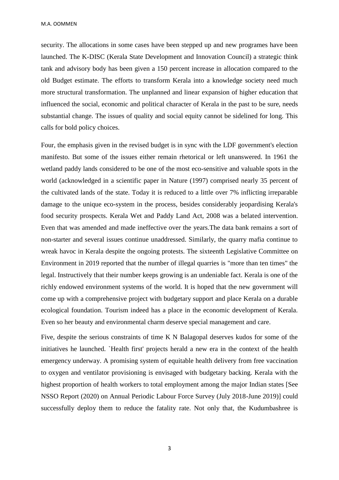M.A. OOMMEN

security. The allocations in some cases have been stepped up and new programes have been launched. The K-DISC (Kerala State Development and Innovation Council) a strategic think tank and advisory body has been given a 150 percent increase in allocation compared to the old Budget estimate. The efforts to transform Kerala into a knowledge society need much more structural transformation. The unplanned and linear expansion of higher education that influenced the social, economic and political character of Kerala in the past to be sure, needs substantial change. The issues of quality and social equity cannot be sidelined for long. This calls for bold policy choices.

Four, the emphasis given in the revised budget is in sync with the LDF government's election manifesto. But some of the issues either remain rhetorical or left unanswered. In 1961 the wetland paddy lands considered to be one of the most eco-sensitive and valuable spots in the world (acknowledged in a scientific paper in Nature (1997) comprised nearly 35 percent of the cultivated lands of the state. Today it is reduced to a little over 7% inflicting irreparable damage to the unique eco-system in the process, besides considerably jeopardising Kerala's food security prospects. Kerala Wet and Paddy Land Act, 2008 was a belated intervention. Even that was amended and made ineffective over the years.The data bank remains a sort of non-starter and several issues continue unaddressed. Similarly, the quarry mafia continue to wreak havoc in Kerala despite the ongoing protests. The sixteenth Legislative Committee on Environment in 2019 reported that the number of illegal quarries is "more than ten times" the legal. Instructively that their number keeps growing is an undeniable fact. Kerala is one of the richly endowed environment systems of the world. It is hoped that the new government will come up with a comprehensive project with budgetary support and place Kerala on a durable ecological foundation. Tourism indeed has a place in the economic development of Kerala. Even so her beauty and environmental charm deserve special management and care.

Five, despite the serious constraints of time K N Balagopal deserves kudos for some of the initiatives he launched. `Health first' projects herald a new era in the context of the health emergency underway. A promising system of equitable health delivery from free vaccination to oxygen and ventilator provisioning is envisaged with budgetary backing. Kerala with the highest proportion of health workers to total employment among the major Indian states [See NSSO Report (2020) on Annual Periodic Labour Force Survey (July 2018-June 2019)] could successfully deploy them to reduce the fatality rate. Not only that, the Kudumbashree is